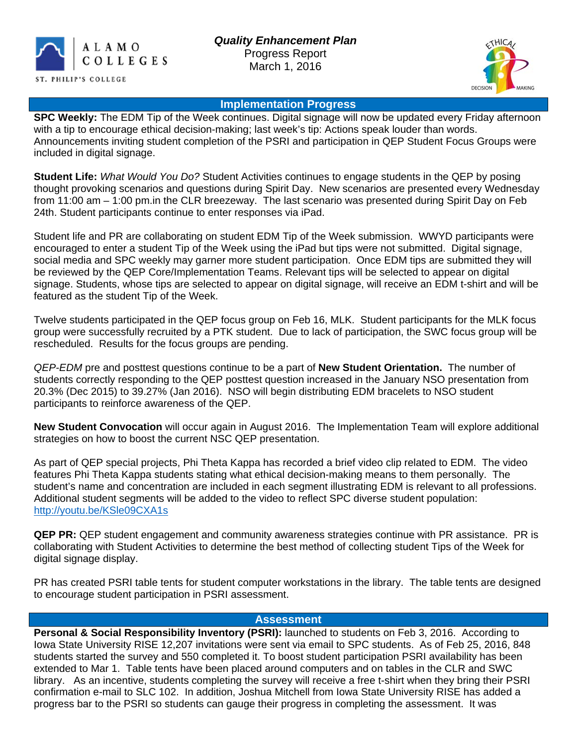



## **Implementation Progress**

**SPC Weekly:** The EDM Tip of the Week continues. Digital signage will now be updated every Friday afternoon with a tip to encourage ethical decision-making; last week's tip: Actions speak louder than words. Announcements inviting student completion of the PSRI and participation in QEP Student Focus Groups were included in digital signage.

**Student Life:** *What Would You Do?* Student Activities continues to engage students in the QEP by posing thought provoking scenarios and questions during Spirit Day. New scenarios are presented every Wednesday from 11:00 am – 1:00 pm.in the CLR breezeway. The last scenario was presented during Spirit Day on Feb 24th. Student participants continue to enter responses via iPad.

Student life and PR are collaborating on student EDM Tip of the Week submission. WWYD participants were encouraged to enter a student Tip of the Week using the iPad but tips were not submitted. Digital signage, social media and SPC weekly may garner more student participation. Once EDM tips are submitted they will be reviewed by the QEP Core/Implementation Teams. Relevant tips will be selected to appear on digital signage. Students, whose tips are selected to appear on digital signage, will receive an EDM t-shirt and will be featured as the student Tip of the Week.

Twelve students participated in the QEP focus group on Feb 16, MLK. Student participants for the MLK focus group were successfully recruited by a PTK student. Due to lack of participation, the SWC focus group will be rescheduled. Results for the focus groups are pending.

*QEP-EDM* pre and posttest questions continue to be a part of **New Student Orientation.** The number of students correctly responding to the QEP posttest question increased in the January NSO presentation from 20.3% (Dec 2015) to 39.27% (Jan 2016). NSO will begin distributing EDM bracelets to NSO student participants to reinforce awareness of the QEP.

**New Student Convocation** will occur again in August 2016. The Implementation Team will explore additional strategies on how to boost the current NSC QEP presentation.

As part of QEP special projects, Phi Theta Kappa has recorded a brief video clip related to EDM. The video features Phi Theta Kappa students stating what ethical decision-making means to them personally. The student's name and concentration are included in each segment illustrating EDM is relevant to all professions. Additional student segments will be added to the video to reflect SPC diverse student population: [http://youtu.be/KSle09CXA1s](https://mail.alamo.edu/owa/redir.aspx?SURL=p2ZM6wsW2sCf6wYSaWExwGB2JcK3h2bA6QKifJtCC6F4C20DCT7TCGgAdAB0AHAAOgAvAC8AeQBvAHUAdAB1AC4AYgBlAC8ASwBTAGwAZQAwADkAQwBYAEEAMQBzAA..&URL=http%3a%2f%2fyoutu.be%2fKSle09CXA1s)

**QEP PR:** QEP student engagement and community awareness strategies continue with PR assistance. PR is collaborating with Student Activities to determine the best method of collecting student Tips of the Week for digital signage display.

PR has created PSRI table tents for student computer workstations in the library. The table tents are designed to encourage student participation in PSRI assessment.

## **Assessment**

**Personal & Social Responsibility Inventory (PSRI):** launched to students on Feb 3, 2016. According to Iowa State University RISE 12,207 invitations were sent via email to SPC students. As of Feb 25, 2016, 848 students started the survey and 550 completed it. To boost student participation PSRI availability has been extended to Mar 1. Table tents have been placed around computers and on tables in the CLR and SWC library. As an incentive, students completing the survey will receive a free t-shirt when they bring their PSRI confirmation e-mail to SLC 102. In addition, Joshua Mitchell from Iowa State University RISE has added a progress bar to the PSRI so students can gauge their progress in completing the assessment. It was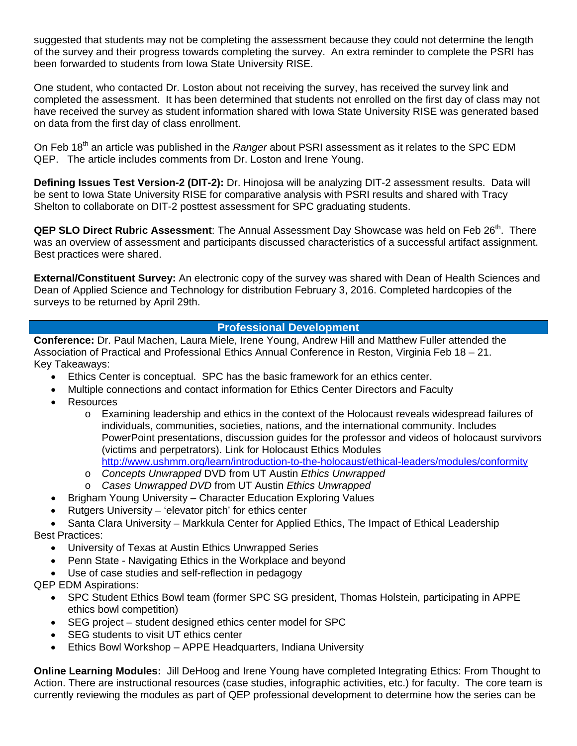suggested that students may not be completing the assessment because they could not determine the length of the survey and their progress towards completing the survey. An extra reminder to complete the PSRI has been forwarded to students from Iowa State University RISE.

One student, who contacted Dr. Loston about not receiving the survey, has received the survey link and completed the assessment. It has been determined that students not enrolled on the first day of class may not have received the survey as student information shared with Iowa State University RISE was generated based on data from the first day of class enrollment.

On Feb 18th an article was published in the *Ranger* about PSRI assessment as it relates to the SPC EDM QEP. The article includes comments from Dr. Loston and Irene Young.

**Defining Issues Test Version-2 (DIT-2):** Dr. Hinojosa will be analyzing DIT-2 assessment results. Data will be sent to Iowa State University RISE for comparative analysis with PSRI results and shared with Tracy Shelton to collaborate on DIT-2 posttest assessment for SPC graduating students.

**QEP SLO Direct Rubric Assessment**: The Annual Assessment Day Showcase was held on Feb 26<sup>th</sup>. There was an overview of assessment and participants discussed characteristics of a successful artifact assignment. Best practices were shared.

**External/Constituent Survey:** An electronic copy of the survey was shared with Dean of Health Sciences and Dean of Applied Science and Technology for distribution February 3, 2016. Completed hardcopies of the surveys to be returned by April 29th.

## **Professional Development**

**Conference:** Dr. Paul Machen, Laura Miele, Irene Young, Andrew Hill and Matthew Fuller attended the Association of Practical and Professional Ethics Annual Conference in Reston, Virginia Feb 18 – 21. Key Takeaways:

- Ethics Center is conceptual. SPC has the basic framework for an ethics center.
- Multiple connections and contact information for Ethics Center Directors and Faculty
- **Resources** 
	- o Examining leadership and ethics in the context of the Holocaust reveals widespread failures of individuals, communities, societies, nations, and the international community. Includes PowerPoint presentations, discussion guides for the professor and videos of holocaust survivors (victims and perpetrators). Link for Holocaust Ethics Modules <http://www.ushmm.org/learn/introduction-to-the-holocaust/ethical-leaders/modules/conformity>
	- o *Concepts Unwrapped* DVD from UT Austin *Ethics Unwrapped*
	- o *Cases Unwrapped DVD* from UT Austin *Ethics Unwrapped*
- Brigham Young University Character Education Exploring Values
- Rutgers University 'elevator pitch' for ethics center
- Santa Clara University Markkula Center for Applied Ethics, The Impact of Ethical Leadership Best Practices:
	- University of Texas at Austin Ethics Unwrapped Series
	- Penn State Navigating Ethics in the Workplace and beyond
	- Use of case studies and self-reflection in pedagogy

QEP EDM Aspirations:

- SPC Student Ethics Bowl team (former SPC SG president, Thomas Holstein, participating in APPE ethics bowl competition)
- SEG project student designed ethics center model for SPC
- SEG students to visit UT ethics center
- Ethics Bowl Workshop APPE Headquarters, Indiana University

**Online Learning Modules:** Jill DeHoog and Irene Young have completed Integrating Ethics: From Thought to Action. There are instructional resources (case studies, infographic activities, etc.) for faculty. The core team is currently reviewing the modules as part of QEP professional development to determine how the series can be